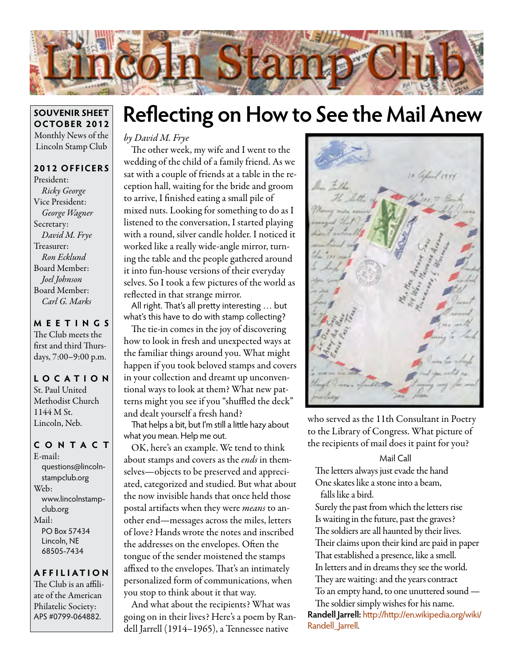

#### **SOUVENIR SHEET OCTOBER 2012** Monthly News of the Lincoln Stamp Club

### **2012 OFFICERS**

President: *Ricky George* Vice President: *George Wagner* Secretary: *David M. Frye* Treasurer: *Ron Ecklund* Board Member: *Joel Johnson* Board Member: *Carl G. Marks*

### **MEETINGS**

The Club meets the first and third Thursdays, 7:00–9:00 p.m.

**LO C ATI O N** St. Paul United Methodist Church 1144 M St. Lincoln, Neb.

### **CONTACT**

E-mail: questions@lincolnstampclub.org Web: www.lincolnstampclub.org Mail: PO Box 57434 Lincoln, NE 68505-7434

#### **AFFI LIATI O N**

The Club is an affiliate of the American Philatelic Society: APS #0799-064882.

## **Reflecting on How to See the Mail Anew**

*by David M. Frye*

The other week, my wife and I went to the wedding of the child of a family friend. As we sat with a couple of friends at a table in the reception hall, waiting for the bride and groom to arrive, I finished eating a small pile of mixed nuts. Looking for something to do as I listened to the conversation, I started playing with a round, silver candle holder. I noticed it worked like a really wide-angle mirror, turning the table and the people gathered around it into fun-house versions of their everyday selves. So I took a few pictures of the world as reflected in that strange mirror.

All right. That's all pretty interesting … but what's this have to do with stamp collecting?

The tie-in comes in the joy of discovering how to look in fresh and unexpected ways at the familiar things around you. What might happen if you took beloved stamps and covers in your collection and dreamt up unconventional ways to look at them? What new patterns might you see if you "shuffled the deck" and dealt yourself a fresh hand?

That helps a bit, but I'm still a little hazy about what you mean. Help me out.

OK, here's an example. We tend to think about stamps and covers as the *ends* in themselves—objects to be preserved and appreciated, categorized and studied. But what about the now invisible hands that once held those postal artifacts when they were *means* to another end—messages across the miles, letters of love? Hands wrote the notes and inscribed the addresses on the envelopes. Often the tongue of the sender moistened the stamps affixed to the envelopes. That's an intimately personalized form of communications, when you stop to think about it that way.

And what about the recipients? What was going on in their lives? Here's a poem by Randell Jarrell (1914–1965), a Tennessee native



who served as the 11th Consultant in Poetry to the Library of Congress. What picture of the recipients of mail does it paint for you?

#### Mail Call

The letters always just evade the hand One skates like a stone into a beam, falls like a bird.

Surely the past from which the letters rise Is waiting in the future, past the graves? The soldiers are all haunted by their lives. Their claims upon their kind are paid in paper That established a presence, like a smell. In letters and in dreams they see the world. They are waiting: and the years contract To an empty hand, to one unuttered sound —

The soldier simply wishes for his name. **Randell Jarrell:** http://http://en.wikipedia.org/wiki/ Randell Jarrell.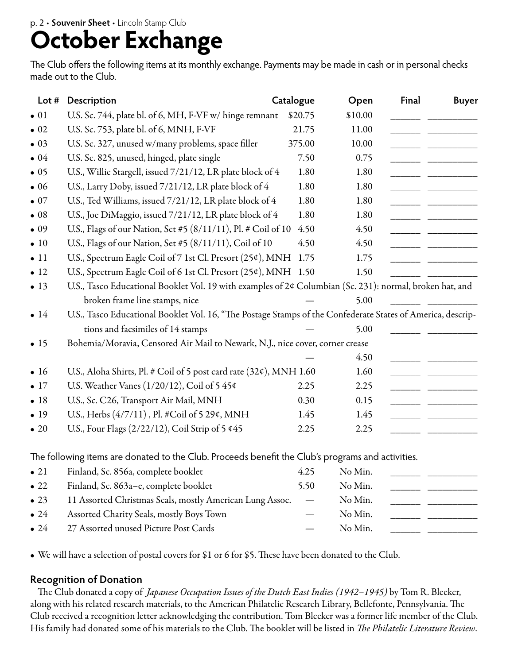# **October Exchange**

The Club offers the following items at its monthly exchange. Payments may be made in cash or in personal checks made out to the Club.

| Lot $#$      | Description                                                                                                                                | Catalogue | Open    | <b>Final</b> | <b>Buyer</b> |
|--------------|--------------------------------------------------------------------------------------------------------------------------------------------|-----------|---------|--------------|--------------|
| $\bullet$ 01 | U.S. Sc. 744, plate bl. of 6, MH, F-VF w/ hinge remnant                                                                                    | \$20.75   | \$10.00 |              |              |
| $\bullet$ 02 | U.S. Sc. 753, plate bl. of 6, MNH, F-VF                                                                                                    | 21.75     | 11.00   |              |              |
| $\bullet$ 03 | U.S. Sc. 327, unused w/many problems, space filler                                                                                         | 375.00    | 10.00   |              |              |
| $\bullet$ 04 | U.S. Sc. 825, unused, hinged, plate single                                                                                                 | 7.50      | 0.75    |              |              |
| $\bullet$ 05 | U.S., Willie Stargell, issued 7/21/12, LR plate block of 4                                                                                 | 1.80      | 1.80    |              |              |
| $\bullet$ 06 | U.S., Larry Doby, issued 7/21/12, LR plate block of 4                                                                                      | 1.80      | 1.80    |              |              |
| $\bullet$ 07 | U.S., Ted Williams, issued 7/21/12, LR plate block of 4                                                                                    | 1.80      | 1.80    |              |              |
| $\bullet$ 08 | U.S., Joe DiMaggio, issued 7/21/12, LR plate block of 4                                                                                    | 1.80      | 1.80    |              |              |
| $\bullet$ 09 | U.S., Flags of our Nation, Set #5 (8/11/11), Pl. # Coil of 10                                                                              | 4.50      | 4.50    |              |              |
| $\bullet$ 10 | U.S., Flags of our Nation, Set #5 (8/11/11), Coil of 10                                                                                    | 4.50      | 4.50    |              |              |
| $\bullet$ 11 | U.S., Spectrum Eagle Coil of 7 1st Cl. Presort (25¢), MNH                                                                                  | 1.75      | 1.75    |              |              |
| $\bullet$ 12 | U.S., Spectrum Eagle Coil of 6 1st Cl. Presort (25¢), MNH 1.50                                                                             |           | 1.50    |              |              |
| $\bullet$ 13 | U.S., Tasco Educational Booklet Vol. 19 with examples of 2¢ Columbian (Sc. 231): normal, broken hat, and<br>broken frame line stamps, nice |           | 5.00    |              |              |
| $\bullet$ 14 | U.S., Tasco Educational Booklet Vol. 16, "The Postage Stamps of the Confederate States of America, descrip-                                |           |         |              |              |
|              | tions and facsimiles of 14 stamps                                                                                                          |           | 5.00    |              |              |
| $\bullet$ 15 | Bohemia/Moravia, Censored Air Mail to Newark, N.J., nice cover, corner crease                                                              |           |         |              |              |
|              |                                                                                                                                            |           | 4.50    |              |              |
| $\bullet$ 16 | U.S., Aloha Shirts, Pl. # Coil of 5 post card rate (32¢), MNH 1.60                                                                         |           | 1.60    |              |              |
| $\bullet$ 17 | U.S. Weather Vanes ( $1/20/12$ ), Coil of 5 45¢                                                                                            | 2.25      | 2.25    |              |              |
| • 18         | U.S., Sc. C26, Transport Air Mail, MNH                                                                                                     | 0.30      | 0.15    |              |              |
| $\bullet$ 19 | U.S., Herbs (4/7/11), Pl. #Coil of 5 29¢, MNH                                                                                              | 1.45      | 1.45    |              |              |
| $\bullet$ 20 | U.S., Four Flags (2/22/12), Coil Strip of 5 ¢45                                                                                            | 2.25      | 2.25    |              |              |
|              | The following items are donated to the Club. Proceeds benefit the Club's programs and activities.                                          |           |         |              |              |
| $\bullet$ 21 | Finland, Sc. 856a, complete booklet                                                                                                        | 4.25      | No Min. |              |              |
| $\bullet$ 22 | Finland, Sc. 863a-e, complete booklet                                                                                                      | 5.50      | No Min. |              |              |
| $\bullet$ 23 | 11 Assorted Christmas Seals, mostly American Lung Assoc.                                                                                   |           | No Min. |              |              |
| $\bullet$ 24 | Assorted Charity Seals, mostly Boys Town                                                                                                   |           | No Min. |              |              |
| $\bullet$ 24 | 27 Assorted unused Picture Post Cards                                                                                                      |           | No Min. |              |              |

• We will have a selection of postal covers for \$1 or 6 for \$5. These have been donated to the Club.

#### **Recognition of Donation**

The Club donated a copy of *Japanese Occupation Issues of the Dutch East Indies (1942–1945)* by Tom R. Bleeker, along with his related research materials, to the American Philatelic Research Library, Bellefonte, Pennsylvania. The Club received a recognition letter acknowledging the contribution. Tom Bleeker was a former life member of the Club. His family had donated some of his materials to the Club. The booklet will be listed in *The Philatelic Literature Review*.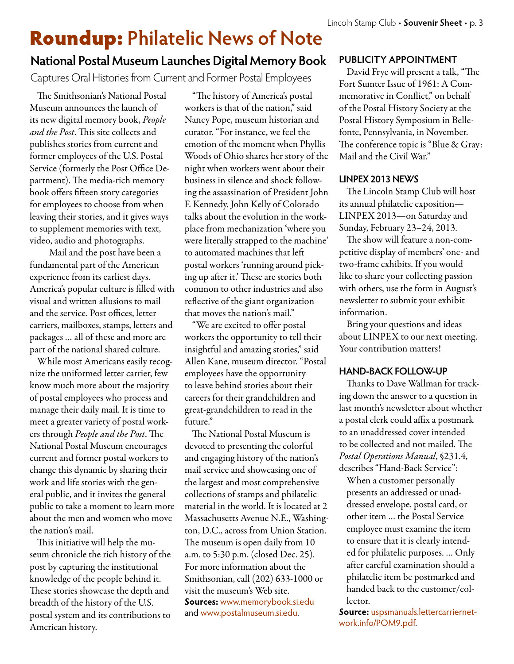## Roundup: **Philatelic News of Note**

### **National Postal Museum Launches Digital Memory Book**

Captures Oral Histories from Current and Former Postal Employees

The Smithsonian's National Postal Museum announces the launch of its new digital memory book, *People and the Post*. This site collects and publishes stories from current and former employees of the U.S. Postal Service (formerly the Post Office Department). The media-rich memory book offers fifteen story categories for employees to choose from when leaving their stories, and it gives ways to supplement memories with text, video, audio and photographs.

 Mail and the post have been a fundamental part of the American experience from its earliest days. America's popular culture is filled with visual and written allusions to mail and the service. Post offices, letter carriers, mailboxes, stamps, letters and packages … all of these and more are part of the national shared culture.

While most Americans easily recognize the uniformed letter carrier, few know much more about the majority of postal employees who process and manage their daily mail. It is time to meet a greater variety of postal workers through *People and the Post*. The National Postal Museum encourages current and former postal workers to change this dynamic by sharing their work and life stories with the general public, and it invites the general public to take a moment to learn more about the men and women who move the nation's mail.

This initiative will help the museum chronicle the rich history of the post by capturing the institutional knowledge of the people behind it. These stories showcase the depth and breadth of the history of the U.S. postal system and its contributions to American history.

"The history of America's postal workers is that of the nation," said Nancy Pope, museum historian and curator. "For instance, we feel the emotion of the moment when Phyllis Woods of Ohio shares her story of the night when workers went about their business in silence and shock following the assassination of President John F. Kennedy. John Kelly of Colorado talks about the evolution in the workplace from mechanization 'where you were literally strapped to the machine' to automated machines that left postal workers 'running around picking up after it.' These are stories both common to other industries and also reflective of the giant organization that moves the nation's mail."

"We are excited to offer postal workers the opportunity to tell their insightful and amazing stories," said Allen Kane, museum director. "Postal employees have the opportunity to leave behind stories about their careers for their grandchildren and great-grandchildren to read in the future."

The National Postal Museum is devoted to presenting the colorful and engaging history of the nation's mail service and showcasing one of the largest and most comprehensive collections of stamps and philatelic material in the world. It is located at 2 Massachusetts Avenue N.E., Washington, D.C., across from Union Station. The museum is open daily from 10 a.m. to 5:30 p.m. (closed Dec. 25). For more information about the Smithsonian, call (202) 633-1000 or visit the museum's Web site. **Sources:** www.memorybook.si.edu and www.postalmuseum.si.edu.

### **PUBLICITY APPOINTMENT**

David Frye will present a talk, "The Fort Sumter Issue of 1961: A Commemorative in Conflict," on behalf of the Postal History Society at the Postal History Symposium in Bellefonte, Pennsylvania, in November. The conference topic is "Blue & Gray: Mail and the Civil War."

### **LINPEX 2013 NEWS**

The Lincoln Stamp Club will host its annual philatelic exposition— LINPEX 2013—on Saturday and Sunday, February 23–24, 2013.

The show will feature a non-competitive display of members' one- and two-frame exhibits. If you would like to share your collecting passion with others, use the form in August's newsletter to submit your exhibit information.

Bring your questions and ideas about LINPEX to our next meeting. Your contribution matters!

### **HAND-BACK FOLLOW-UP**

Thanks to Dave Wallman for tracking down the answer to a question in last month's newsletter about whether a postal clerk could affix a postmark to an unaddressed cover intended to be collected and not mailed. The *Postal Operations Manual*, §231.4, describes "Hand-Back Service":

When a customer personally presents an addressed or unaddressed envelope, postal card, or other item … the Postal Service employee must examine the item to ensure that it is clearly intended for philatelic purposes. … Only after careful examination should a philatelic item be postmarked and handed back to the customer/collector.

**Source:** uspsmanuals.lettercarriernetwork.info/POM9.pdf.